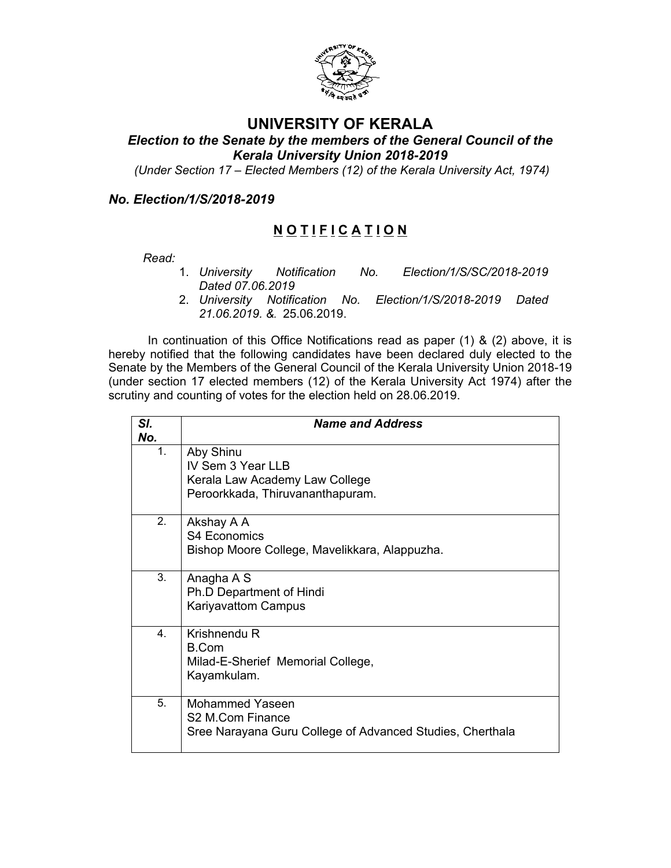

## **UNIVERSITY OF KERALA**

*Election to the Senate by the members of the General Council of the Kerala University Union 2018-2019*

 *(Under Section 17 – Elected Members (12) of the Kerala University Act, 1974)*

## *No. Election/1/S/2018-2019*

# **N O T I F I C A T I O N**

- *Read:*  1. *University Notification No. Election/1/S/SC/2018-2019 Dated 07.06.2019*
	- 2. *University Notification No. Election/1/S/2018-2019 Dated 21.06.2019. &.* 25.06.2019.

In continuation of this Office Notifications read as paper (1) & (2) above, it is hereby notified that the following candidates have been declared duly elected to the Senate by the Members of the General Council of the Kerala University Union 2018-19 (under section 17 elected members (12) of the Kerala University Act 1974) after the scrutiny and counting of votes for the election held on 28.06.2019.

| SI.<br>No.     | <b>Name and Address</b>                                                                              |
|----------------|------------------------------------------------------------------------------------------------------|
| 1.             | Aby Shinu<br>IV Sem 3 Year LLB<br>Kerala Law Academy Law College<br>Peroorkkada, Thiruvananthapuram. |
| 2.             | Akshay A A<br><b>S4 Economics</b><br>Bishop Moore College, Mavelikkara, Alappuzha.                   |
| 3.             | Anagha A S<br>Ph.D Department of Hindi<br><b>Kariyavattom Campus</b>                                 |
| 4 <sub>1</sub> | Krishnendu R<br>B.Com<br>Milad-E-Sherief Memorial College,<br>Kayamkulam.                            |
| 5.             | Mohammed Yaseen<br>S2 M.Com Finance<br>Sree Narayana Guru College of Advanced Studies, Cherthala     |